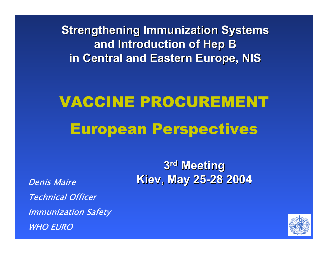**Strengthening Immunization Systems and Introduction of Hep B in Central and Eastern Europe, NIS in Central and Eastern Europe, NIS**

# VACCINE PROCUREMENTEuropean Perspectives

Denis MaireTechnical Officer Immunization Safety WHO EURO

**3rd Meeting Meeting Kiev, May 25 Kiev, May 25 -28 2004 28 2004**

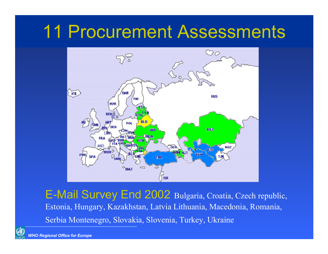#### 11 Procurement Assessments



E-Mail Survey End 2002 Bulgaria, Croatia, Czech republic, Estonia, Hungary, Kazakhstan, Latvia Lithuania, Macedonia, Romania, Serbia Montenegro, Slovakia, Slovenia, Turkey, Ukraine

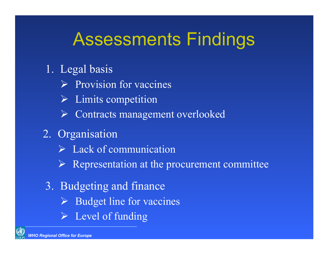## Assessments Findings

- 1. Legal basis
	- $\triangleright$  Provision for vaccines
	- $\triangleright$  Limits competition
	- ¾ Contracts management overlooked
- 2. Organisation
	- $\triangleright$  Lack of communication
	- $\triangleright$  Representation at the procurement committee
- 3. Budgeting and finance
	- ¾ Budget line for vaccines
	- $\triangleright$  Level of funding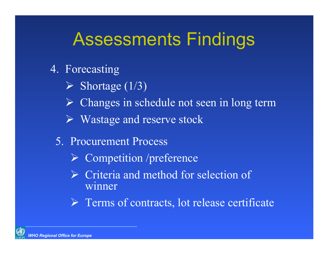## Assessments Findings

- 4. Forecasting
	- $\triangleright$  Shortage (1/3)
	- ¾ Changes in schedule not seen in long term
	- ¾ Wastage and reserve stock
	- 5. Procurement Process
		- ¾ Competition /preference
		- $\triangleright$  Criteria and method for selection of winner
		- ¾ Terms of contracts, lot release certificate

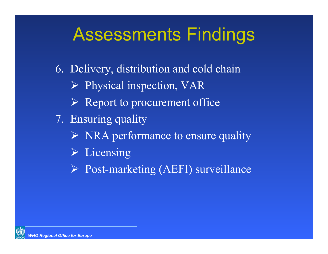## Assessments Findings

6. Delivery, distribution and cold chain

- ¾ Physical inspection, VAR
- $\triangleright$  Report to procurement office
- 7. Ensuring quality
	- ¾ NRA performance to ensure quality
	- $\triangleright$  Licensing
	- ¾ Post-marketing (AEFI) surveillance

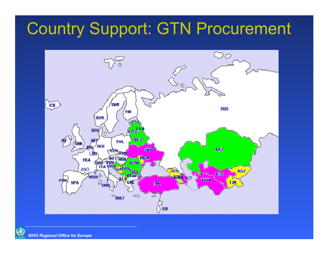#### Country Support: GTN Procurement